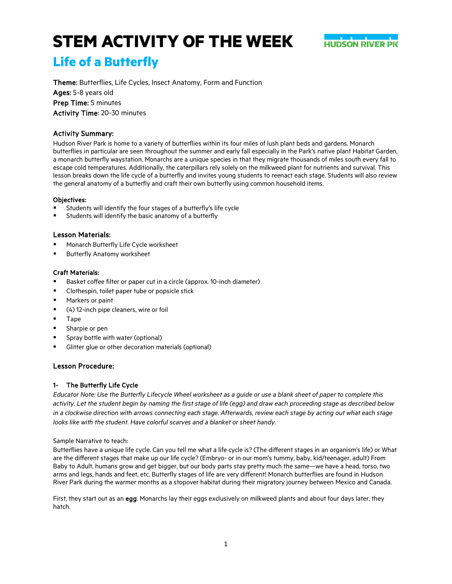

# **Life of a Butterfly**

Theme: Butterflies, Life Cycles, Insect Anatomy, Form and Function Ages: 5-8 years old Prep Time: 5 minutes Activity Time: 20-30 minutes

# Activity Summary:

Hudson River Park is home to a variety of butterflies within its four miles of lush plant beds and gardens. Monarch butterflies in particular are seen throughout the summer and early fall especially in the Park's native plant Habitat Garden, a monarch butterfly waystation. Monarchs are a unique species in that they migrate thousands of miles south every fall to escape cold temperatures. Additionally, the caterpillars rely solely on the milkweed plant for nutrients and survival. This lesson breaks down the life cycle of a butterfly and invites young students to reenact each stage. Students will also review the general anatomy of a butterfly and craft their own butterfly using common household items.

### Objectives:

- Students will identify the four stages of a butterfly's life cycle
- Students will identify the basic anatomy of a butterfly

# Lesson Materials:

- Monarch Butterfly Life Cycle worksheet
- Butterfly Anatomy worksheet

### Craft Materials:

- Basket coffee filter or paper cut in a circle (approx. 10-inch diameter)
- **EXECLOTE:** Clothespin, toilet paper tube or popsicle stick
- Markers or paint
- (4) 12-inch pipe cleaners, wire or foil
- **Tape**
- Sharpie or pen
- Spray bottle with water (optional)
- Glitter glue or other decoration materials (optional)

# Lesson Procedure:

# 1- The Butterfly Life Cycle

*Educator Note: Use the Butterfly Lifecycle Wheel worksheet as a guide or use a blank sheet of paper to complete this activity. Let the student begin by naming the first stage of life (egg) and draw each proceeding stage as described below in a clockwise direction with arrows connecting each stage. Afterwards, review each stage by acting out what each stage looks like with the student. Have colorful scarves and a blanket or sheet handy.*

Sample Narrative to teach:

Butterflies have a unique life cycle. Can you tell me what a life cycle is? (The different stages in an organism's life) or What are the different stages that make up our life cycle? (Embryo- or in our mom's tummy, baby, kid/teenager, adult) From Baby to Adult, humans grow and get bigger, but our body parts stay pretty much the same—we have a head, torso, two arms and legs, hands and feet, etc. Butterfly stages of life are very different! Monarch butterflies are found in Hudson River Park during the warmer months as a stopover habitat during their migratory journey between Mexico and Canada.

First, they start out as an egg. Monarchs lay their eggs exclusively on milkweed plants and about four days later, they hatch.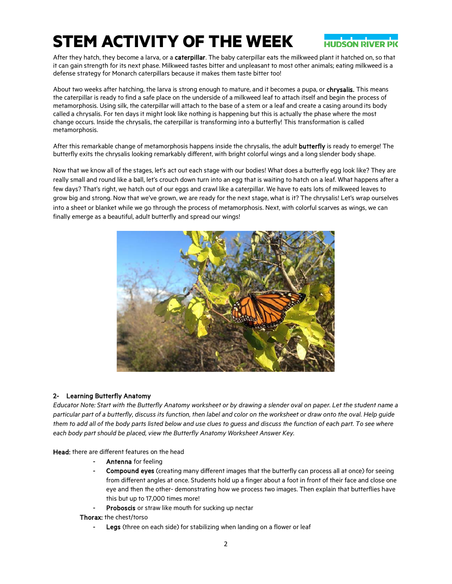

After they hatch, they become a larva, or a caterpillar. The baby caterpillar eats the milkweed plant it hatched on, so that it can gain strength for its next phase. Milkweed tastes bitter and unpleasant to most other animals; eating milkweed is a defense strategy for Monarch caterpillars because it makes them taste bitter too!

About two weeks after hatching, the larva is strong enough to mature, and it becomes a pupa, or chrysalis. This means the caterpillar is ready to find a safe place on the underside of a milkweed leaf to attach itself and begin the process of metamorphosis. Using silk, the caterpillar will attach to the base of a stem or a leaf and create a casing around its body called a chrysalis. For ten days it might look like nothing is happening but this is actually the phase where the most change occurs. Inside the chrysalis, the caterpillar is transforming into a butterfly! This transformation is called metamorphosis.

After this remarkable change of metamorphosis happens inside the chrysalis, the adult **butterfly** is ready to emerge! The butterfly exits the chrysalis looking remarkably different, with bright colorful wings and a long slender body shape.

Now that we know all of the stages, let's act out each stage with our bodies! What does a butterfly egg look like? They are really small and round like a ball, let's crouch down turn into an egg that is waiting to hatch on a leaf. What happens after a few days? That's right, we hatch out of our eggs and crawl like a caterpillar. We have to eats lots of milkweed leaves to grow big and strong. Now that we've grown, we are ready for the next stage, what is it? The chrysalis! Let's wrap ourselves into a sheet or blanket while we go through the process of metamorphosis. Next, with colorful scarves as wings, we can finally emerge as a beautiful, adult butterfly and spread our wings!



# 2- Learning Butterfly Anatomy

*Educator Note: Start with the Butterfly Anatomy worksheet or by drawing a slender oval on paper. Let the student name a particular part of a butterfly, discuss its function, then label and color on the worksheet or draw onto the oval. Help guide them to add all of the body parts listed below and use clues to guess and discuss the function of each part. To see where each body part should be placed, view the Butterfly Anatomy Worksheet Answer Key.*

Head: there are different features on the head

- Antenna for feeling
- Compound eyes (creating many different images that the butterfly can process all at once) for seeing from different angles at once. Students hold up a finger about a foot in front of their face and close one eye and then the other- demonstrating how we process two images. Then explain that butterflies have this but up to 17,000 times more!
- Proboscis or straw like mouth for sucking up nectar

Thorax: the chest/torso

Legs (three on each side) for stabilizing when landing on a flower or leaf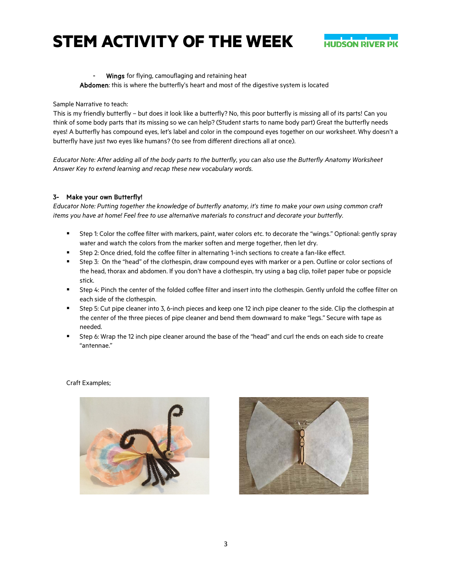

#### Wings for flying, camouflaging and retaining heat

Abdomen: this is where the butterfly's heart and most of the digestive system is located

#### Sample Narrative to teach:

This is my friendly butterfly – but does it look like a butterfly? No, this poor butterfly is missing all of its parts! Can you think of some body parts that its missing so we can help? (Student starts to name body part) Great the butterfly needs eyes! A butterfly has compound eyes, let's label and color in the compound eyes together on our worksheet. Why doesn't a butterfly have just two eyes like humans? (to see from different directions all at once).

*Educator Note: After adding all of the body parts to the butterfly, you can also use the Butterfly Anatomy Worksheet Answer Key to extend learning and recap these new vocabulary words.*

### 3- Make your own Butterfly!

*Educator Note: Putting together the knowledge of butterfly anatomy, it's time to make your own using common craft items you have at home! Feel free to use alternative materials to construct and decorate your butterfly.*

- Step 1: Color the coffee filter with markers, paint, water colors etc. to decorate the "wings." Optional: gently spray water and watch the colors from the marker soften and merge together, then let dry.
- Step 2: Once dried, fold the coffee filter in alternating 1-inch sections to create a fan-like effect.
- Step 3: On the "head" of the clothespin, draw compound eyes with marker or a pen. Outline or color sections of the head, thorax and abdomen. If you don't have a clothespin, try using a bag clip, toilet paper tube or popsicle stick.
- Step 4: Pinch the center of the folded coffee filter and insert into the clothespin. Gently unfold the coffee filter on each side of the clothespin.
- Step 5: Cut pipe cleaner into 3, 6-inch pieces and keep one 12 inch pipe cleaner to the side. Clip the clothespin at the center of the three pieces of pipe cleaner and bend them downward to make "legs." Secure with tape as needed.
- Step 6: Wrap the 12 inch pipe cleaner around the base of the "head" and curl the ends on each side to create "antennae."

#### Craft Examples;